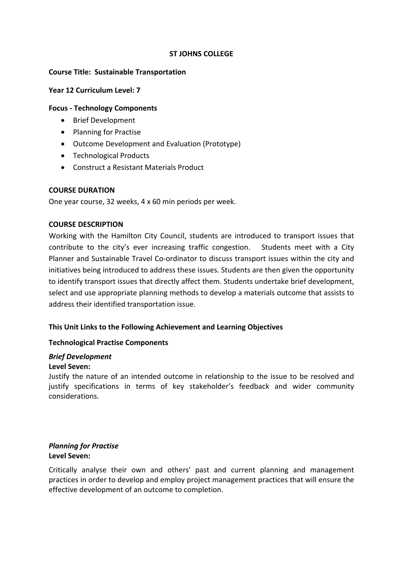### **ST JOHNS COLLEGE**

### **Course Title: Sustainable Transportation**

### **Year 12 Curriculum Level: 7**

### **Focus ‐ Technology Components**

- Brief Development
- Planning for Practise
- Outcome Development and Evaluation (Prototype)
- Technological Products
- Construct a Resistant Materials Product

### **COURSE DURATION**

One year course, 32 weeks, 4 x 60 min periods per week.

### **COURSE DESCRIPTION**

Working with the Hamilton City Council, students are introduced to transport issues that contribute to the city's ever increasing traffic congestion. Students meet with a City Planner and Sustainable Travel Co-ordinator to discuss transport issues within the city and initiatives being introduced to address these issues. Students are then given the opportunity to identify transport issues that directly affect them. Students undertake brief development, select and use appropriate planning methods to develop a materials outcome that assists to address their identified transportation issue.

### **This Unit Links to the Following Achievement and Learning Objectives**

### **Technological Practise Components**

### *Brief Development*

### **Level Seven:**

Justify the nature of an intended outcome in relationship to the issue to be resolved and justify specifications in terms of key stakeholder's feedback and wider community considerations.

### *Planning for Practise* **Level Seven:**

Critically analyse their own and others' past and current planning and management practices in order to develop and employ project management practices that will ensure the effective development of an outcome to completion.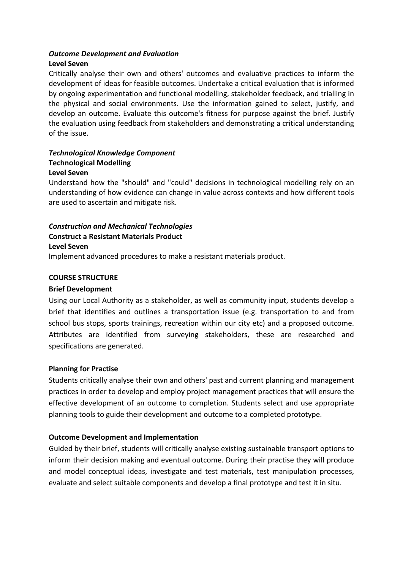### *Outcome Development and Evaluation*

### **Level Seven**

Critically analyse their own and others' outcomes and evaluative practices to inform the development of ideas for feasible outcomes. Undertake a critical evaluation that is informed by ongoing experimentation and functional modelling, stakeholder feedback, and trialling in the physical and social environments. Use the information gained to select, justify, and develop an outcome. Evaluate this outcome's fitness for purpose against the brief. Justify the evaluation using feedback from stakeholders and demonstrating a critical understanding of the issue.

### *Technological Knowledge Component*  **Technological Modelling Level Seven**

Understand how the "should" and "could" decisions in technological modelling rely on an understanding of how evidence can change in value across contexts and how different tools are used to ascertain and mitigate risk.

# *Construction and Mechanical Technologies* **Construct a Resistant Materials Product Level Seven**

Implement advanced procedures to make a resistant materials product.

### **COURSE STRUCTURE**

### **Brief Development**

Using our Local Authority as a stakeholder, as well as community input, students develop a brief that identifies and outlines a transportation issue (e.g. transportation to and from school bus stops, sports trainings, recreation within our city etc) and a proposed outcome. Attributes are identified from surveying stakeholders, these are researched and specifications are generated.

### **Planning for Practise**

Students critically analyse their own and others' past and current planning and management practices in order to develop and employ project management practices that will ensure the effective development of an outcome to completion. Students select and use appropriate planning tools to guide their development and outcome to a completed prototype.

## **Outcome Development and Implementation**

Guided by their brief, students will critically analyse existing sustainable transport options to inform their decision making and eventual outcome. During their practise they will produce and model conceptual ideas, investigate and test materials, test manipulation processes, evaluate and select suitable components and develop a final prototype and test it in situ.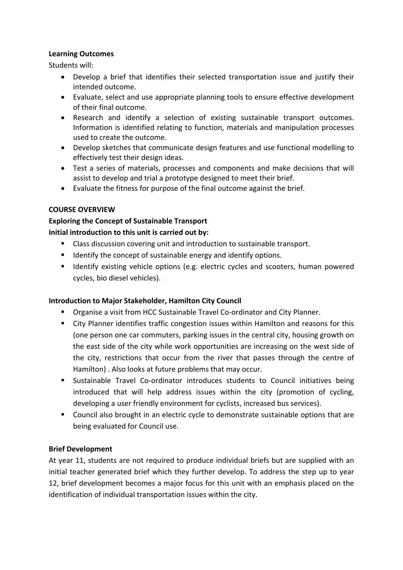### **Learning Outcomes**

Students will:

- Develop a brief that identifies their selected transportation issue and justify their intended outcome.
- Evaluate, select and use appropriate planning tools to ensure effective development of their final outcome.
- Research and identify a selection of existing sustainable transport outcomes. Information is identified relating to function, materials and manipulation processes used to create the outcome.
- Develop sketches that communicate design features and use functional modelling to effectively test their design ideas.
- Test a series of materials, processes and components and make decisions that will assist to develop and trial a prototype designed to meet their brief.
- Evaluate the fitness for purpose of the final outcome against the brief.

## **COURSE OVERVIEW**

# **Exploring the Concept of Sustainable Transport**

## **Initial introduction to this unit is carried out by:**

- Class discussion covering unit and introduction to sustainable transport.
- **If** Identify the concept of sustainable energy and identify options.
- Identify existing vehicle options (e.g. electric cycles and scooters, human powered cycles, bio diesel vehicles).

## **Introduction to Major Stakeholder, Hamilton City Council**

- Organise a visit from HCC Sustainable Travel Co‐ordinator and City Planner.
- City Planner identifies traffic congestion issues within Hamilton and reasons for this (one person one car commuters, parking issues in the central city, housing growth on the east side of the city while work opportunities are increasing on the west side of the city, restrictions that occur from the river that passes through the centre of Hamilton) . Also looks at future problems that may occur.
- Sustainable Travel Co-ordinator introduces students to Council initiatives being introduced that will help address issues within the city (promotion of cycling, developing a user friendly environment for cyclists, increased bus services).
- Council also brought in an electric cycle to demonstrate sustainable options that are being evaluated for Council use.

## **Brief Development**

At year 11, students are not required to produce individual briefs but are supplied with an initial teacher generated brief which they further develop. To address the step up to year 12, brief development becomes a major focus for this unit with an emphasis placed on the identification of individual transportation issues within the city.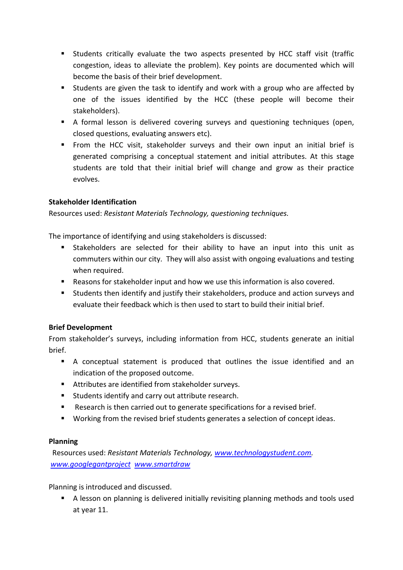- Students critically evaluate the two aspects presented by HCC staff visit (traffic congestion, ideas to alleviate the problem). Key points are documented which will become the basis of their brief development.
- Students are given the task to identify and work with a group who are affected by one of the issues identified by the HCC (these people will become their stakeholders).
- A formal lesson is delivered covering surveys and questioning techniques (open, closed questions, evaluating answers etc).
- From the HCC visit, stakeholder surveys and their own input an initial brief is generated comprising a conceptual statement and initial attributes. At this stage students are told that their initial brief will change and grow as their practice evolves.

# **Stakeholder Identification**

Resources used: *Resistant Materials Technology, questioning techniques.*

The importance of identifying and using stakeholders is discussed:

- Stakeholders are selected for their ability to have an input into this unit as commuters within our city. They will also assist with ongoing evaluations and testing when required.
- Reasons for stakeholder input and how we use this information is also covered.
- Students then identify and justify their stakeholders, produce and action surveys and evaluate their feedback which is then used to start to build their initial brief.

# **Brief Development**

From stakeholder's surveys, including information from HCC, students generate an initial brief.

- A conceptual statement is produced that outlines the issue identified and an indication of the proposed outcome.
- Attributes are identified from stakeholder surveys.
- **Students identify and carry out attribute research.**
- Research is then carried out to generate specifications for a revised brief.
- Working from the revised brief students generates a selection of concept ideas.

# **Planning**

 Resources used: *Resistant Materials Technology, www.technologystudent.com. www.googlegantproject www.smartdraw* 

Planning is introduced and discussed.

 A lesson on planning is delivered initially revisiting planning methods and tools used at year 11.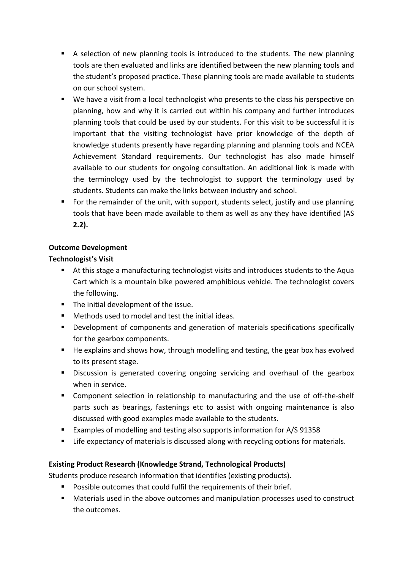- A selection of new planning tools is introduced to the students. The new planning tools are then evaluated and links are identified between the new planning tools and the student's proposed practice. These planning tools are made available to students on our school system.
- We have a visit from a local technologist who presents to the class his perspective on planning, how and why it is carried out within his company and further introduces planning tools that could be used by our students. For this visit to be successful it is important that the visiting technologist have prior knowledge of the depth of knowledge students presently have regarding planning and planning tools and NCEA Achievement Standard requirements. Our technologist has also made himself available to our students for ongoing consultation. An additional link is made with the terminology used by the technologist to support the terminology used by students. Students can make the links between industry and school.
- For the remainder of the unit, with support, students select, justify and use planning tools that have been made available to them as well as any they have identified (AS **2.2).**

# **Outcome Development**

# **Technologist's Visit**

- At this stage a manufacturing technologist visits and introduces students to the Aqua Cart which is a mountain bike powered amphibious vehicle. The technologist covers the following.
- The initial development of the issue.
- Methods used to model and test the initial ideas.
- Development of components and generation of materials specifications specifically for the gearbox components.
- He explains and shows how, through modelling and testing, the gear box has evolved to its present stage.
- Discussion is generated covering ongoing servicing and overhaul of the gearbox when in service.
- Component selection in relationship to manufacturing and the use of off-the-shelf parts such as bearings, fastenings etc to assist with ongoing maintenance is also discussed with good examples made available to the students.
- Examples of modelling and testing also supports information for A/S 91358
- **EXTED EXECTED EXAM** Life expectancy of materials is discussed along with recycling options for materials.

# **Existing Product Research (Knowledge Strand, Technological Products)**

Students produce research information that identifies (existing products).

- **Possible outcomes that could fulfil the requirements of their brief.**
- Materials used in the above outcomes and manipulation processes used to construct the outcomes.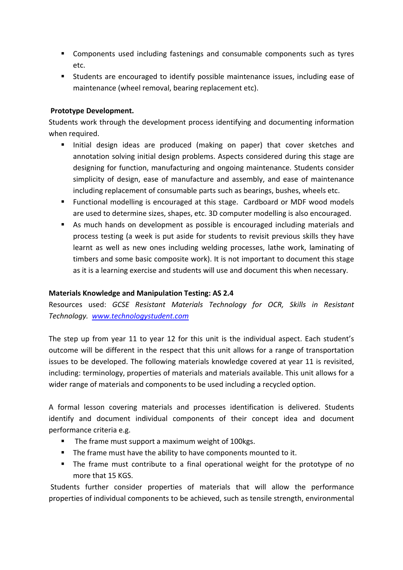- Components used including fastenings and consumable components such as tyres etc.
- Students are encouraged to identify possible maintenance issues, including ease of maintenance (wheel removal, bearing replacement etc).

## **Prototype Development.**

Students work through the development process identifying and documenting information when required.

- Initial design ideas are produced (making on paper) that cover sketches and annotation solving initial design problems. Aspects considered during this stage are designing for function, manufacturing and ongoing maintenance. Students consider simplicity of design, ease of manufacture and assembly, and ease of maintenance including replacement of consumable parts such as bearings, bushes, wheels etc.
- Functional modelling is encouraged at this stage. Cardboard or MDF wood models are used to determine sizes, shapes, etc. 3D computer modelling is also encouraged.
- As much hands on development as possible is encouraged including materials and process testing (a week is put aside for students to revisit previous skills they have learnt as well as new ones including welding processes, lathe work, laminating of timbers and some basic composite work). It is not important to document this stage as it is a learning exercise and students will use and document this when necessary.

## **Materials Knowledge and Manipulation Testing: AS 2.4**

Resources used: *GCSE Resistant Materials Technology for OCR, Skills in Resistant Technology. www.technologystudent.com*

The step up from year 11 to year 12 for this unit is the individual aspect. Each student's outcome will be different in the respect that this unit allows for a range of transportation issues to be developed. The following materials knowledge covered at year 11 is revisited, including: terminology, properties of materials and materials available. This unit allows for a wider range of materials and components to be used including a recycled option.

A formal lesson covering materials and processes identification is delivered. Students identify and document individual components of their concept idea and document performance criteria e.g.

- The frame must support a maximum weight of 100kgs.
- The frame must have the ability to have components mounted to it.
- The frame must contribute to a final operational weight for the prototype of no more that 15 KGS.

Students further consider properties of materials that will allow the performance properties of individual components to be achieved, such as tensile strength, environmental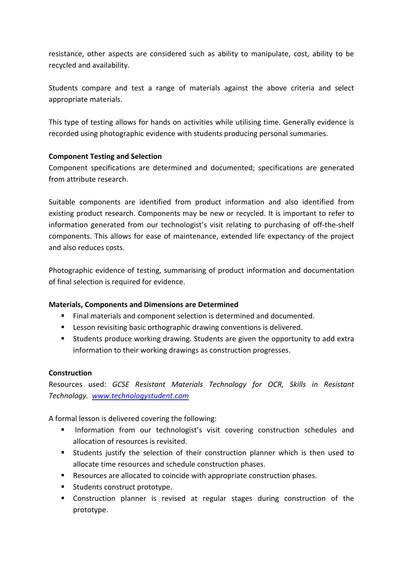resistance, other aspects are considered such as ability to manipulate, cost, ability to be recycled and availability.

Students compare and test a range of materials against the above criteria and select appropriate materials.

This type of testing allows for hands on activities while utilising time. Generally evidence is recorded using photographic evidence with students producing personal summaries.

### **Component Testing and Selection**

Component specifications are determined and documented; specifications are generated from attribute research.

Suitable components are identified from product information and also identified from existing product research. Components may be new or recycled. It is important to refer to information generated from our technologist's visit relating to purchasing of off-the-shelf components. This allows for ease of maintenance, extended life expectancy of the project and also reduces costs.

Photographic evidence of testing, summarising of product information and documentation of final selection is required for evidence.

## **Materials, Components and Dimensions are Determined**

- Final materials and component selection is determined and documented.
- **EXECT** Lesson revisiting basic orthographic drawing conventions is delivered.
- **Students produce working drawing. Students are given the opportunity to add extra** information to their working drawings as construction progresses.

### **Construction**

Resources used: *GCSE Resistant Materials Technology for OCR, Skills in Resistant Technology. www.technologystudent.com*

A formal lesson is delivered covering the following:

- **Information from our technologist's visit covering construction schedules and** allocation of resources is revisited.
- Students justify the selection of their construction planner which is then used to allocate time resources and schedule construction phases.
- Resources are allocated to coincide with appropriate construction phases.
- **Students construct prototype.**
- Construction planner is revised at regular stages during construction of the prototype.